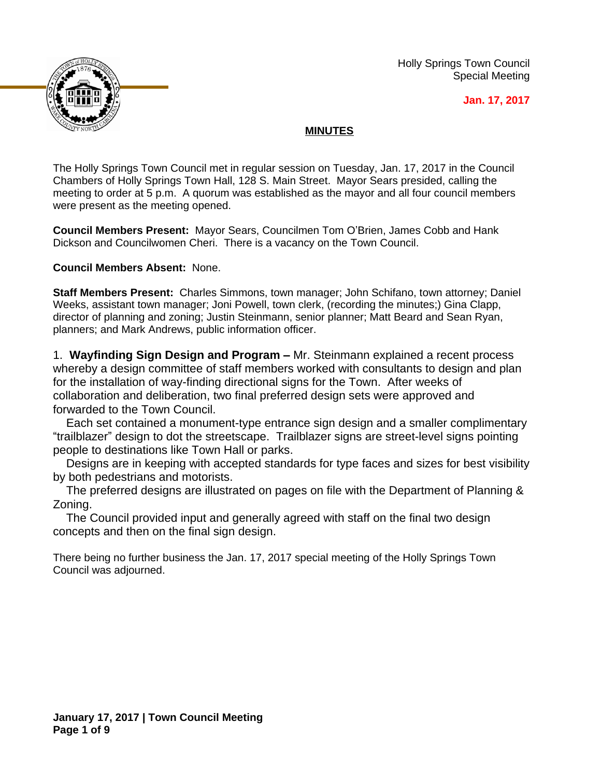

Holly Springs Town Council Special Meeting

**Jan. 17, 2017**

## **MINUTES**

The Holly Springs Town Council met in regular session on Tuesday, Jan. 17, 2017 in the Council Chambers of Holly Springs Town Hall, 128 S. Main Street. Mayor Sears presided, calling the meeting to order at 5 p.m. A quorum was established as the mayor and all four council members were present as the meeting opened.

**Council Members Present:** Mayor Sears, Councilmen Tom O'Brien, James Cobb and Hank Dickson and Councilwomen Cheri. There is a vacancy on the Town Council.

## **Council Members Absent:** None.

**Staff Members Present:** Charles Simmons, town manager; John Schifano, town attorney; Daniel Weeks, assistant town manager; Joni Powell, town clerk, (recording the minutes;) Gina Clapp, director of planning and zoning; Justin Steinmann, senior planner; Matt Beard and Sean Ryan, planners; and Mark Andrews, public information officer.

1. **Wayfinding Sign Design and Program –** Mr. Steinmann explained a recent process whereby a design committee of staff members worked with consultants to design and plan for the installation of way-finding directional signs for the Town. After weeks of collaboration and deliberation, two final preferred design sets were approved and forwarded to the Town Council.

Each set contained a monument-type entrance sign design and a smaller complimentary "trailblazer" design to dot the streetscape. Trailblazer signs are street-level signs pointing people to destinations like Town Hall or parks.

Designs are in keeping with accepted standards for type faces and sizes for best visibility by both pedestrians and motorists.

The preferred designs are illustrated on pages on file with the Department of Planning & Zoning.

The Council provided input and generally agreed with staff on the final two design concepts and then on the final sign design.

There being no further business the Jan. 17, 2017 special meeting of the Holly Springs Town Council was adjourned.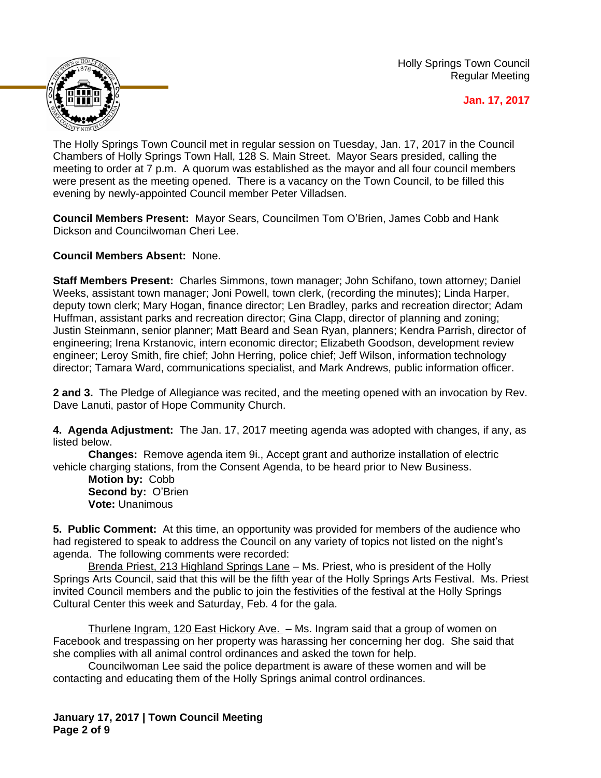Holly Springs Town Council Regular Meeting



**Jan. 17, 2017**

The Holly Springs Town Council met in regular session on Tuesday, Jan. 17, 2017 in the Council Chambers of Holly Springs Town Hall, 128 S. Main Street. Mayor Sears presided, calling the meeting to order at 7 p.m. A quorum was established as the mayor and all four council members were present as the meeting opened. There is a vacancy on the Town Council, to be filled this evening by newly-appointed Council member Peter Villadsen.

**Council Members Present:** Mayor Sears, Councilmen Tom O'Brien, James Cobb and Hank Dickson and Councilwoman Cheri Lee.

**Council Members Absent:** None.

**Staff Members Present:** Charles Simmons, town manager; John Schifano, town attorney; Daniel Weeks, assistant town manager; Joni Powell, town clerk, (recording the minutes); Linda Harper, deputy town clerk; Mary Hogan, finance director; Len Bradley, parks and recreation director; Adam Huffman, assistant parks and recreation director; Gina Clapp, director of planning and zoning; Justin Steinmann, senior planner; Matt Beard and Sean Ryan, planners; Kendra Parrish, director of engineering; Irena Krstanovic, intern economic director; Elizabeth Goodson, development review engineer; Leroy Smith, fire chief; John Herring, police chief; Jeff Wilson, information technology director; Tamara Ward, communications specialist, and Mark Andrews, public information officer.

**2 and 3.** The Pledge of Allegiance was recited, and the meeting opened with an invocation by Rev. Dave Lanuti, pastor of Hope Community Church.

**4. Agenda Adjustment:** The Jan. 17, 2017 meeting agenda was adopted with changes, if any, as listed below.

**Changes:** Remove agenda item 9i., Accept grant and authorize installation of electric vehicle charging stations, from the Consent Agenda, to be heard prior to New Business.

**Motion by:** Cobb **Second by:** O'Brien **Vote:** Unanimous

**5. Public Comment:** At this time, an opportunity was provided for members of the audience who had registered to speak to address the Council on any variety of topics not listed on the night's agenda. The following comments were recorded:

Brenda Priest, 213 Highland Springs Lane – Ms. Priest, who is president of the Holly Springs Arts Council, said that this will be the fifth year of the Holly Springs Arts Festival. Ms. Priest invited Council members and the public to join the festivities of the festival at the Holly Springs Cultural Center this week and Saturday, Feb. 4 for the gala.

Thurlene Ingram, 120 East Hickory Ave. - Ms. Ingram said that a group of women on Facebook and trespassing on her property was harassing her concerning her dog. She said that she complies with all animal control ordinances and asked the town for help.

Councilwoman Lee said the police department is aware of these women and will be contacting and educating them of the Holly Springs animal control ordinances.

**January 17, 2017 | Town Council Meeting Page 2 of 9**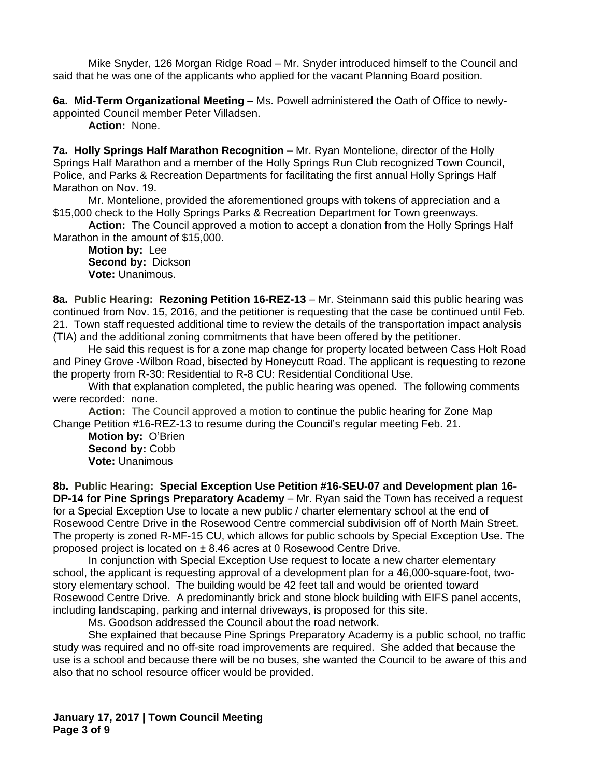Mike Snyder, 126 Morgan Ridge Road - Mr. Snyder introduced himself to the Council and said that he was one of the applicants who applied for the vacant Planning Board position.

**6a. Mid-Term Organizational Meeting –** Ms. Powell administered the Oath of Office to newlyappointed Council member Peter Villadsen.

**Action:** None.

**7a. Holly Springs Half Marathon Recognition - Mr. Ryan Montelione, director of the Holly** Springs Half Marathon and a member of the Holly Springs Run Club recognized Town Council, Police, and Parks & Recreation Departments for facilitating the first annual Holly Springs Half Marathon on Nov. 19.

Mr. Montelione, provided the aforementioned groups with tokens of appreciation and a \$15,000 check to the Holly Springs Parks & Recreation Department for Town greenways.

**Action:** The Council approved a motion to accept a donation from the Holly Springs Half Marathon in the amount of \$15,000.

**Motion by:** Lee **Second by:** Dickson **Vote:** Unanimous.

**8a. Public Hearing: Rezoning Petition 16-REZ-13** – Mr. Steinmann said this public hearing was continued from Nov. 15, 2016, and the petitioner is requesting that the case be continued until Feb. 21. Town staff requested additional time to review the details of the transportation impact analysis (TIA) and the additional zoning commitments that have been offered by the petitioner.

He said this request is for a zone map change for property located between Cass Holt Road and Piney Grove -Wilbon Road, bisected by Honeycutt Road. The applicant is requesting to rezone the property from R-30: Residential to R-8 CU: Residential Conditional Use.

With that explanation completed, the public hearing was opened. The following comments were recorded: none.

**Action:** The Council approved a motion to continue the public hearing for Zone Map Change Petition #16-REZ-13 to resume during the Council's regular meeting Feb. 21.

**Motion by:** O'Brien Second by: Cobb **Vote:** Unanimous

**8b. Public Hearing: Special Exception Use Petition #16-SEU-07 and Development plan 16- DP-14 for Pine Springs Preparatory Academy** – Mr. Ryan said the Town has received a request for a Special Exception Use to locate a new public / charter elementary school at the end of Rosewood Centre Drive in the Rosewood Centre commercial subdivision off of North Main Street. The property is zoned R-MF-15 CU, which allows for public schools by Special Exception Use. The proposed project is located on ± 8.46 acres at 0 Rosewood Centre Drive.

In conjunction with Special Exception Use request to locate a new charter elementary school, the applicant is requesting approval of a development plan for a 46,000-square-foot, twostory elementary school. The building would be 42 feet tall and would be oriented toward Rosewood Centre Drive. A predominantly brick and stone block building with EIFS panel accents, including landscaping, parking and internal driveways, is proposed for this site.

Ms. Goodson addressed the Council about the road network.

She explained that because Pine Springs Preparatory Academy is a public school, no traffic study was required and no off-site road improvements are required. She added that because the use is a school and because there will be no buses, she wanted the Council to be aware of this and also that no school resource officer would be provided.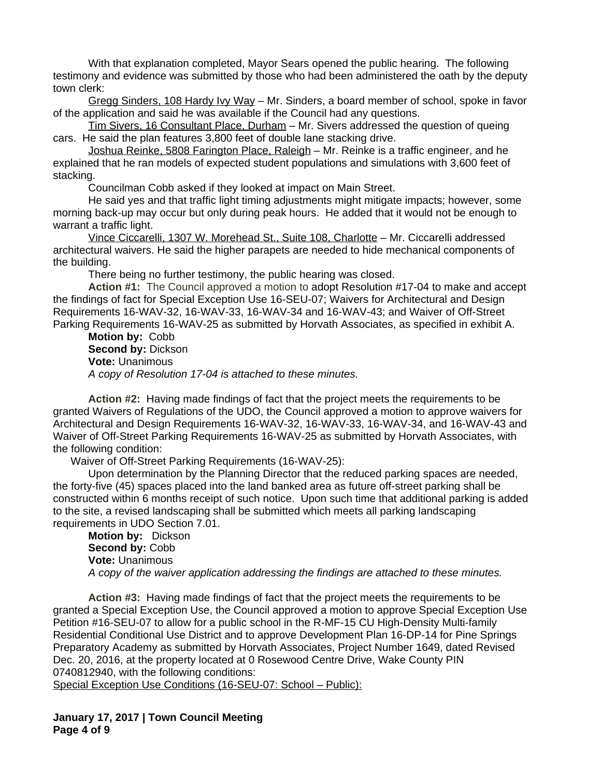With that explanation completed, Mayor Sears opened the public hearing. The following testimony and evidence was submitted by those who had been administered the oath by the deputy town clerk:

Gregg Sinders, 108 Hardy Ivy Way – Mr. Sinders, a board member of school, spoke in favor of the application and said he was available if the Council had any questions.

Tim Sivers, 16 Consultant Place, Durham – Mr. Sivers addressed the question of queing cars. He said the plan features 3,800 feet of double lane stacking drive.

Joshua Reinke, 5808 Farington Place, Raleigh – Mr. Reinke is a traffic engineer, and he explained that he ran models of expected student populations and simulations with 3,600 feet of stacking.

Councilman Cobb asked if they looked at impact on Main Street.

He said yes and that traffic light timing adjustments might mitigate impacts; however, some morning back-up may occur but only during peak hours. He added that it would not be enough to warrant a traffic light.

Vince Ciccarelli, 1307 W. Morehead St., Suite 108, Charlotte – Mr. Ciccarelli addressed architectural waivers. He said the higher parapets are needed to hide mechanical components of the building.

There being no further testimony, the public hearing was closed.

**Action #1:** The Council approved a motion to adopt Resolution #17-04 to make and accept the findings of fact for Special Exception Use 16-SEU-07; Waivers for Architectural and Design Requirements 16-WAV-32, 16-WAV-33, 16-WAV-34 and 16-WAV-43; and Waiver of Off-Street Parking Requirements 16-WAV-25 as submitted by Horvath Associates, as specified in exhibit A.

**Motion by:** Cobb **Second by:** Dickson **Vote:** Unanimous *A copy of Resolution 17-04 is attached to these minutes.*

**Action #2:** Having made findings of fact that the project meets the requirements to be granted Waivers of Regulations of the UDO, the Council approved a motion to approve waivers for Architectural and Design Requirements 16-WAV-32, 16-WAV-33, 16-WAV-34, and 16-WAV-43 and Waiver of Off-Street Parking Requirements 16-WAV-25 as submitted by Horvath Associates, with the following condition:

Waiver of Off-Street Parking Requirements (16-WAV-25):

Upon determination by the Planning Director that the reduced parking spaces are needed, the forty-five (45) spaces placed into the land banked area as future off-street parking shall be constructed within 6 months receipt of such notice. Upon such time that additional parking is added to the site, a revised landscaping shall be submitted which meets all parking landscaping requirements in UDO Section 7.01.

**Motion by:** Dickson Second by: Cobb **Vote:** Unanimous *A copy of the waiver application addressing the findings are attached to these minutes.*

**Action #3:** Having made findings of fact that the project meets the requirements to be granted a Special Exception Use, the Council approved a motion to approve Special Exception Use Petition #16-SEU-07 to allow for a public school in the R-MF-15 CU High-Density Multi-family Residential Conditional Use District and to approve Development Plan 16-DP-14 for Pine Springs Preparatory Academy as submitted by Horvath Associates, Project Number 1649, dated Revised Dec. 20, 2016, at the property located at 0 Rosewood Centre Drive, Wake County PIN 0740812940, with the following conditions:

Special Exception Use Conditions (16-SEU-07: School – Public):

**January 17, 2017 | Town Council Meeting Page 4 of 9**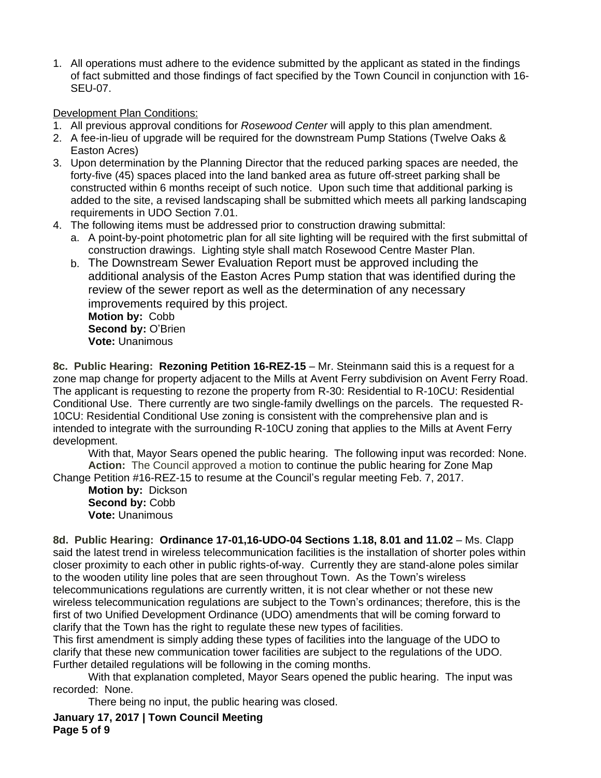1. All operations must adhere to the evidence submitted by the applicant as stated in the findings of fact submitted and those findings of fact specified by the Town Council in conjunction with 16- SEU-07.

Development Plan Conditions:

- 1. All previous approval conditions for *Rosewood Center* will apply to this plan amendment.
- 2. A fee-in-lieu of upgrade will be required for the downstream Pump Stations (Twelve Oaks & Easton Acres)
- 3. Upon determination by the Planning Director that the reduced parking spaces are needed, the forty-five (45) spaces placed into the land banked area as future off-street parking shall be constructed within 6 months receipt of such notice. Upon such time that additional parking is added to the site, a revised landscaping shall be submitted which meets all parking landscaping requirements in UDO Section 7.01.
- 4. The following items must be addressed prior to construction drawing submittal:
	- a. A point-by-point photometric plan for all site lighting will be required with the first submittal of construction drawings. Lighting style shall match Rosewood Centre Master Plan.
	- b. The Downstream Sewer Evaluation Report must be approved including the additional analysis of the Easton Acres Pump station that was identified during the review of the sewer report as well as the determination of any necessary improvements required by this project. **Motion by:** Cobb **Second by:** O'Brien

**8c. Public Hearing: Rezoning Petition 16-REZ-15** – Mr. Steinmann said this is a request for a zone map change for property adjacent to the Mills at Avent Ferry subdivision on Avent Ferry Road. The applicant is requesting to rezone the property from R-30: Residential to R-10CU: Residential Conditional Use. There currently are two single-family dwellings on the parcels. The requested R-10CU: Residential Conditional Use zoning is consistent with the comprehensive plan and is intended to integrate with the surrounding R-10CU zoning that applies to the Mills at Avent Ferry development.

With that, Mayor Sears opened the public hearing. The following input was recorded: None. **Action:** The Council approved a motion to continue the public hearing for Zone Map Change Petition #16-REZ-15 to resume at the Council's regular meeting Feb. 7, 2017.

**Motion by:** Dickson **Second by:** Cobb **Vote:** Unanimous

**Vote:** Unanimous

8d. Public Hearing: Ordinance 17-01,16-UDO-04 Sections 1.18, 8.01 and 11.02 - Ms. Clapp said the latest trend in wireless telecommunication facilities is the installation of shorter poles within closer proximity to each other in public rights-of-way. Currently they are stand-alone poles similar to the wooden utility line poles that are seen throughout Town. As the Town's wireless telecommunications regulations are currently written, it is not clear whether or not these new wireless telecommunication regulations are subject to the Town's ordinances; therefore, this is the first of two Unified Development Ordinance (UDO) amendments that will be coming forward to clarify that the Town has the right to regulate these new types of facilities.

This first amendment is simply adding these types of facilities into the language of the UDO to clarify that these new communication tower facilities are subject to the regulations of the UDO. Further detailed regulations will be following in the coming months.

With that explanation completed, Mayor Sears opened the public hearing. The input was recorded: None.

There being no input, the public hearing was closed.

**January 17, 2017 | Town Council Meeting Page 5 of 9**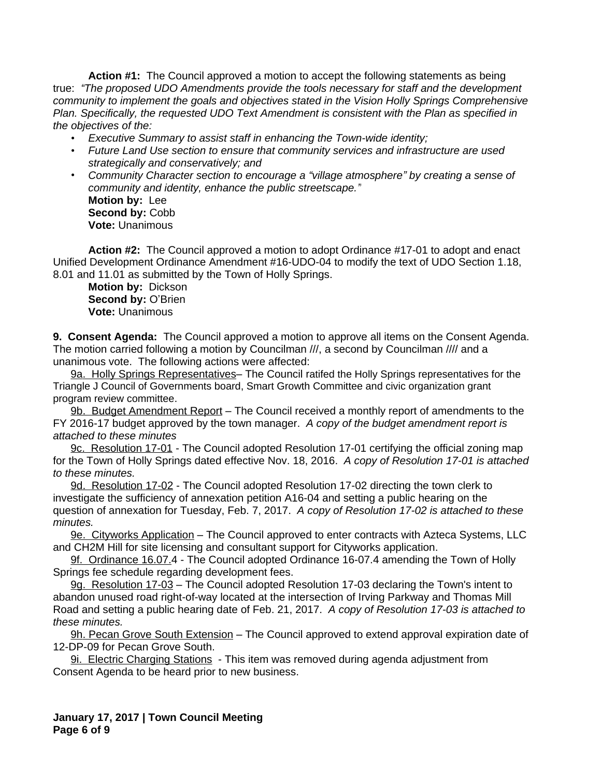**Action #1:** The Council approved a motion to accept the following statements as being true: *"The proposed UDO Amendments provide the tools necessary for staff and the development community to implement the goals and objectives stated in the Vision Holly Springs Comprehensive Plan. Specifically, the requested UDO Text Amendment is consistent with the Plan as specified in the objectives of the:*

- *• Executive Summary to assist staff in enhancing the Town-wide identity;*
- *• Future Land Use section to ensure that community services and infrastructure are used strategically and conservatively; and*
- *• Community Character section to encourage a "village atmosphere" by creating a sense of community and identity, enhance the public streetscape."* **Motion by:** Lee Second by: Cobb **Vote:** Unanimous

**Action #2:** The Council approved a motion to adopt Ordinance #17-01 to adopt and enact Unified Development Ordinance Amendment #16-UDO-04 to modify the text of UDO Section 1.18, 8.01 and 11.01 as submitted by the Town of Holly Springs.

**Motion by:** Dickson **Second by:** O'Brien **Vote:** Unanimous

**9. Consent Agenda:** The Council approved a motion to approve all items on the Consent Agenda. The motion carried following a motion by Councilman ///, a second by Councilman //// and a unanimous vote. The following actions were affected:

9a. Holly Springs Representatives– The Council ratifed the Holly Springs representatives for the Triangle J Council of Governments board, Smart Growth Committee and civic organization grant program review committee.

9b. Budget Amendment Report – The Council received a monthly report of amendments to the FY 2016-17 budget approved by the town manager. *A copy of the budget amendment report is attached to these minutes*

9c. Resolution 17-01 - The Council adopted Resolution 17-01 certifying the official zoning map for the Town of Holly Springs dated effective Nov. 18, 2016. *A copy of Resolution 17-01 is attached to these minutes.*

9d. Resolution 17-02 - The Council adopted Resolution 17-02 directing the town clerk to investigate the sufficiency of annexation petition A16-04 and setting a public hearing on the question of annexation for Tuesday, Feb. 7, 2017. *A copy of Resolution 17-02 is attached to these minutes.*

9e. Cityworks Application - The Council approved to enter contracts with Azteca Systems, LLC and CH2M Hill for site licensing and consultant support for Cityworks application.

9f. Ordinance 16.07.4 - The Council adopted Ordinance 16-07.4 amending the Town of Holly Springs fee schedule regarding development fees.

9g. Resolution 17-03 – The Council adopted Resolution 17-03 declaring the Town's intent to abandon unused road right-of-way located at the intersection of Irving Parkway and Thomas Mill Road and setting a public hearing date of Feb. 21, 2017. *A copy of Resolution 17-03 is attached to these minutes.*

9h. Pecan Grove South Extension – The Council approved to extend approval expiration date of 12-DP-09 for Pecan Grove South.

9i. Electric Charging Stations - This item was removed during agenda adjustment from Consent Agenda to be heard prior to new business.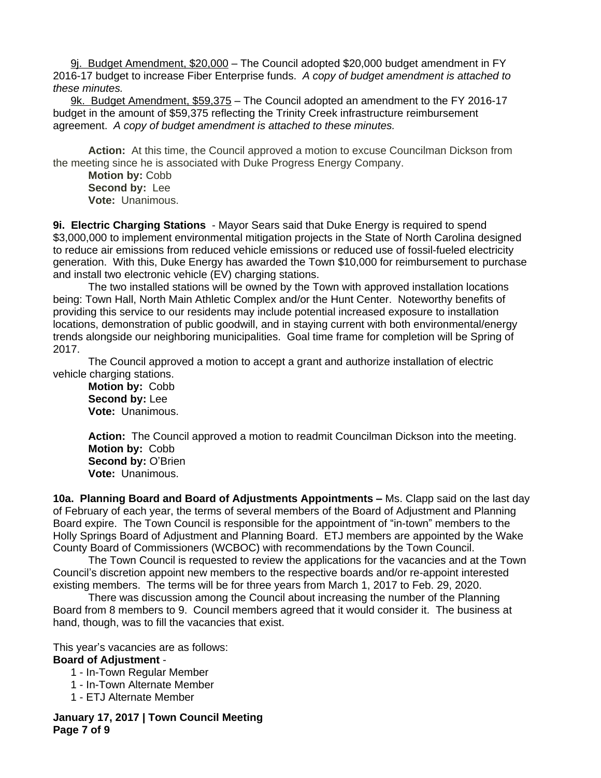9j. Budget Amendment, \$20,000 – The Council adopted \$20,000 budget amendment in FY 2016-17 budget to increase Fiber Enterprise funds. *A copy of budget amendment is attached to these minutes.*

9k. Budget Amendment, \$59,375 – The Council adopted an amendment to the FY 2016-17 budget in the amount of \$59,375 reflecting the Trinity Creek infrastructure reimbursement agreement. *A copy of budget amendment is attached to these minutes.*

**Action:** At this time, the Council approved a motion to excuse Councilman Dickson from the meeting since he is associated with Duke Progress Energy Company.

**Motion by:** Cobb **Second by:** Lee **Vote:** Unanimous.

**9i. Electric Charging Stations** - Mayor Sears said that Duke Energy is required to spend \$3,000,000 to implement environmental mitigation projects in the State of North Carolina designed to reduce air emissions from reduced vehicle emissions or reduced use of fossil-fueled electricity generation. With this, Duke Energy has awarded the Town \$10,000 for reimbursement to purchase and install two electronic vehicle (EV) charging stations.

The two installed stations will be owned by the Town with approved installation locations being: Town Hall, North Main Athletic Complex and/or the Hunt Center. Noteworthy benefits of providing this service to our residents may include potential increased exposure to installation locations, demonstration of public goodwill, and in staying current with both environmental/energy trends alongside our neighboring municipalities.Goal time frame for completion will be Spring of 2017.

The Council approved a motion to accept a grant and authorize installation of electric vehicle charging stations.

**Motion by:** Cobb **Second by:** Lee **Vote:** Unanimous.

**Action:** The Council approved a motion to readmit Councilman Dickson into the meeting. **Motion by:** Cobb **Second by:** O'Brien **Vote:** Unanimous.

**10a. Planning Board and Board of Adjustments Appointments –** Ms. Clapp said on the last day of February of each year, the terms of several members of the Board of Adjustment and Planning Board expire. The Town Council is responsible for the appointment of "in-town" members to the Holly Springs Board of Adjustment and Planning Board. ETJ members are appointed by the Wake County Board of Commissioners (WCBOC) with recommendations by the Town Council.

The Town Council is requested to review the applications for the vacancies and at the Town Council's discretion appoint new members to the respective boards and/or re-appoint interested existing members. The terms will be for three years from March 1, 2017 to Feb. 29, 2020.

There was discussion among the Council about increasing the number of the Planning Board from 8 members to 9. Council members agreed that it would consider it. The business at hand, though, was to fill the vacancies that exist.

This year's vacancies are as follows:

## **Board of Adjustment** -

- 1 In-Town Regular Member
- 1 In-Town Alternate Member
- 1 ETJ Alternate Member

**January 17, 2017 | Town Council Meeting Page 7 of 9**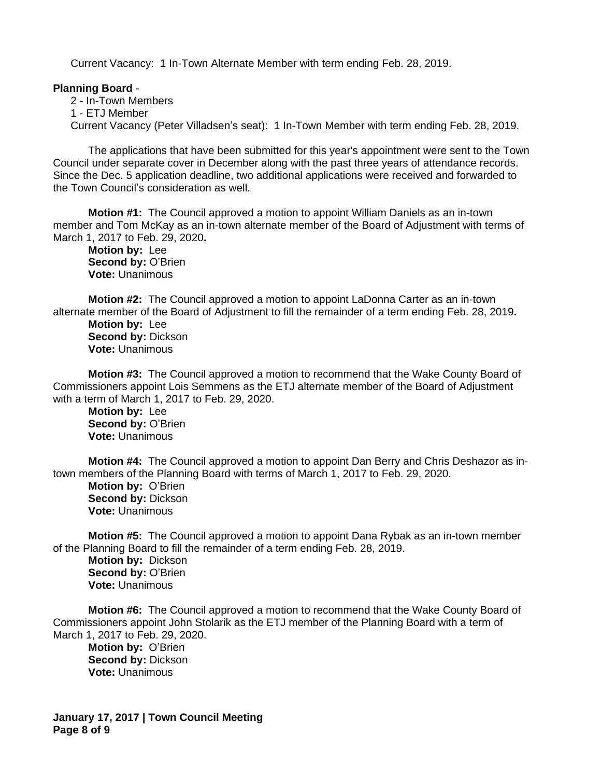Current Vacancy: 1 In-Town Alternate Member with term ending Feb. 28, 2019.

## **Planning Board** -

2 - In-Town Members 1 - ETJ Member Current Vacancy (Peter Villadsen's seat): 1 In-Town Member with term ending Feb. 28, 2019.

The applications that have been submitted for this year's appointment were sent to the Town Council under separate cover in December along with the past three years of attendance records. Since the Dec. 5 application deadline, two additional applications were received and forwarded to the Town Council's consideration as well.

**Motion #1:** The Council approved a motion to appoint William Daniels as an in-town member and Tom McKay as an in-town alternate member of the Board of Adjustment with terms of March 1, 2017 to Feb. 29, 2020**.**

**Motion by:** Lee **Second by:** O'Brien **Vote:** Unanimous

**Motion #2:** The Council approved a motion to appoint LaDonna Carter as an in-town alternate member of the Board of Adjustment to fill the remainder of a term ending Feb. 28, 2019**.**

**Motion by:** Lee **Second by:** Dickson **Vote:** Unanimous

**Motion #3:** The Council approved a motion to recommend that the Wake County Board of Commissioners appoint Lois Semmens as the ETJ alternate member of the Board of Adjustment with a term of March 1, 2017 to Feb. 29, 2020.

**Motion by:** Lee **Second by: O'Brien Vote:** Unanimous

**Motion #4:** The Council approved a motion to appoint Dan Berry and Chris Deshazor as intown members of the Planning Board with terms of March 1, 2017 to Feb. 29, 2020.

**Motion by:** O'Brien **Second by:** Dickson **Vote:** Unanimous

**Motion #5:** The Council approved a motion to appoint Dana Rybak as an in-town member of the Planning Board to fill the remainder of a term ending Feb. 28, 2019. **Motion by:** Dickson **Second by:** O'Brien **Vote:** Unanimous

**Motion #6:** The Council approved a motion to recommend that the Wake County Board of Commissioners appoint John Stolarik as the ETJ member of the Planning Board with a term of March 1, 2017 to Feb. 29, 2020.

**Motion by:** O'Brien **Second by:** Dickson **Vote:** Unanimous

**January 17, 2017 | Town Council Meeting Page 8 of 9**